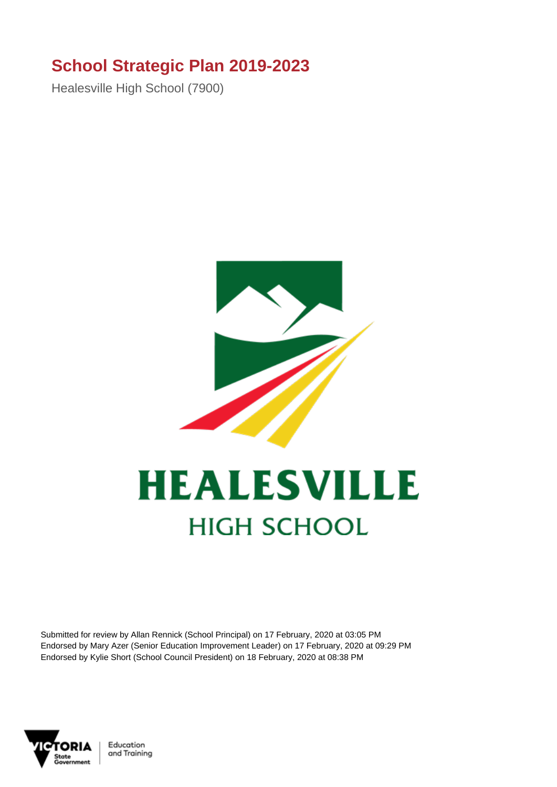## **School Strategic Plan 2019-2023**

Healesville High School (7900)



## **HEALESVILLE HIGH SCHOOL**

Submitted for review by Allan Rennick (School Principal) on 17 February, 2020 at 03:05 PM Endorsed by Mary Azer (Senior Education Improvement Leader) on 17 February, 2020 at 09:29 PM Endorsed by Kylie Short (School Council President) on 18 February, 2020 at 08:38 PM



Education and Training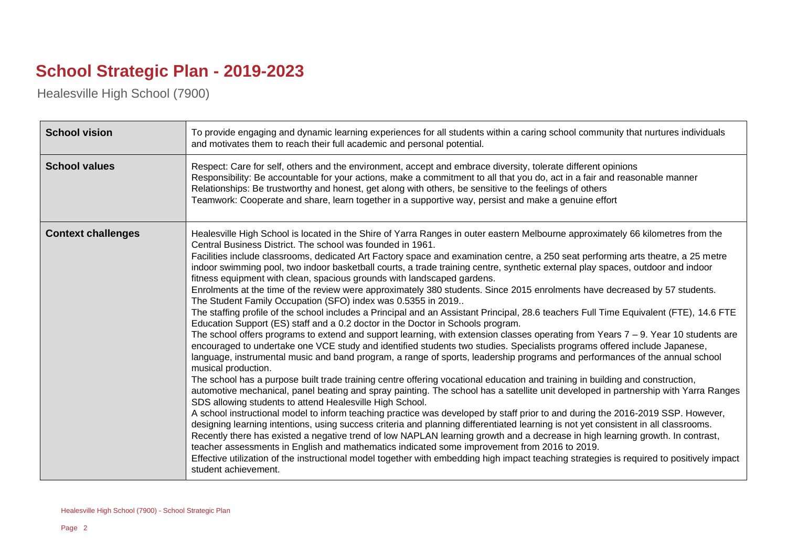## **School Strategic Plan - 2019-2023**

Healesville High School (7900)

| <b>School vision</b>      | To provide engaging and dynamic learning experiences for all students within a caring school community that nurtures individuals<br>and motivates them to reach their full academic and personal potential.                                                                                                                                                                                                                                                                                                                                                                                                                                                                                                                                                                                                                                                                                                                                                                                                                                                                                                                                                                                                                                                                                                                                                                                                                                                                                                                                                                                                                                                                                                                                                                                                                                                                                                                                                                                                                                                                                                                                                                                                                                                                                                                                                                                                                  |
|---------------------------|------------------------------------------------------------------------------------------------------------------------------------------------------------------------------------------------------------------------------------------------------------------------------------------------------------------------------------------------------------------------------------------------------------------------------------------------------------------------------------------------------------------------------------------------------------------------------------------------------------------------------------------------------------------------------------------------------------------------------------------------------------------------------------------------------------------------------------------------------------------------------------------------------------------------------------------------------------------------------------------------------------------------------------------------------------------------------------------------------------------------------------------------------------------------------------------------------------------------------------------------------------------------------------------------------------------------------------------------------------------------------------------------------------------------------------------------------------------------------------------------------------------------------------------------------------------------------------------------------------------------------------------------------------------------------------------------------------------------------------------------------------------------------------------------------------------------------------------------------------------------------------------------------------------------------------------------------------------------------------------------------------------------------------------------------------------------------------------------------------------------------------------------------------------------------------------------------------------------------------------------------------------------------------------------------------------------------------------------------------------------------------------------------------------------------|
| <b>School values</b>      | Respect: Care for self, others and the environment, accept and embrace diversity, tolerate different opinions<br>Responsibility: Be accountable for your actions, make a commitment to all that you do, act in a fair and reasonable manner<br>Relationships: Be trustworthy and honest, get along with others, be sensitive to the feelings of others<br>Teamwork: Cooperate and share, learn together in a supportive way, persist and make a genuine effort                                                                                                                                                                                                                                                                                                                                                                                                                                                                                                                                                                                                                                                                                                                                                                                                                                                                                                                                                                                                                                                                                                                                                                                                                                                                                                                                                                                                                                                                                                                                                                                                                                                                                                                                                                                                                                                                                                                                                               |
| <b>Context challenges</b> | Healesville High School is located in the Shire of Yarra Ranges in outer eastern Melbourne approximately 66 kilometres from the<br>Central Business District. The school was founded in 1961.<br>Facilities include classrooms, dedicated Art Factory space and examination centre, a 250 seat performing arts theatre, a 25 metre<br>indoor swimming pool, two indoor basketball courts, a trade training centre, synthetic external play spaces, outdoor and indoor<br>fitness equipment with clean, spacious grounds with landscaped gardens.<br>Enrolments at the time of the review were approximately 380 students. Since 2015 enrolments have decreased by 57 students.<br>The Student Family Occupation (SFO) index was 0.5355 in 2019<br>The staffing profile of the school includes a Principal and an Assistant Principal, 28.6 teachers Full Time Equivalent (FTE), 14.6 FTE<br>Education Support (ES) staff and a 0.2 doctor in the Doctor in Schools program.<br>The school offers programs to extend and support learning, with extension classes operating from Years $7 - 9$ . Year 10 students are<br>encouraged to undertake one VCE study and identified students two studies. Specialists programs offered include Japanese,<br>language, instrumental music and band program, a range of sports, leadership programs and performances of the annual school<br>musical production.<br>The school has a purpose built trade training centre offering vocational education and training in building and construction,<br>automotive mechanical, panel beating and spray painting. The school has a satellite unit developed in partnership with Yarra Ranges<br>SDS allowing students to attend Healesville High School.<br>A school instructional model to inform teaching practice was developed by staff prior to and during the 2016-2019 SSP. However,<br>designing learning intentions, using success criteria and planning differentiated learning is not yet consistent in all classrooms.<br>Recently there has existed a negative trend of low NAPLAN learning growth and a decrease in high learning growth. In contrast,<br>teacher assessments in English and mathematics indicated some improvement from 2016 to 2019.<br>Effective utilization of the instructional model together with embedding high impact teaching strategies is required to positively impact<br>student achievement. |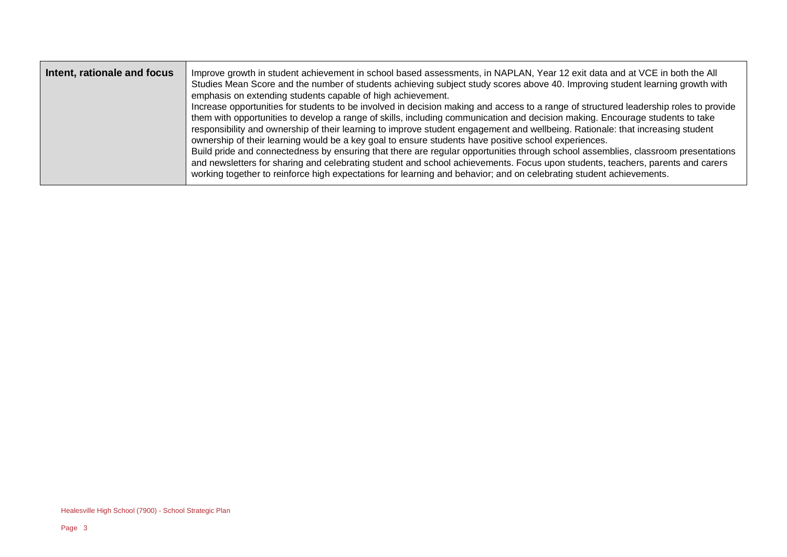| Intent, rationale and focus | Improve growth in student achievement in school based assessments, in NAPLAN, Year 12 exit data and at VCE in both the All<br>Studies Mean Score and the number of students achieving subject study scores above 40. Improving student learning growth with<br>emphasis on extending students capable of high achievement.<br>Increase opportunities for students to be involved in decision making and access to a range of structured leadership roles to provide<br>them with opportunities to develop a range of skills, including communication and decision making. Encourage students to take<br>responsibility and ownership of their learning to improve student engagement and wellbeing. Rationale: that increasing student<br>ownership of their learning would be a key goal to ensure students have positive school experiences.<br>Build pride and connectedness by ensuring that there are regular opportunities through school assemblies, classroom presentations<br>and newsletters for sharing and celebrating student and school achievements. Focus upon students, teachers, parents and carers<br>working together to reinforce high expectations for learning and behavior; and on celebrating student achievements. |
|-----------------------------|----------------------------------------------------------------------------------------------------------------------------------------------------------------------------------------------------------------------------------------------------------------------------------------------------------------------------------------------------------------------------------------------------------------------------------------------------------------------------------------------------------------------------------------------------------------------------------------------------------------------------------------------------------------------------------------------------------------------------------------------------------------------------------------------------------------------------------------------------------------------------------------------------------------------------------------------------------------------------------------------------------------------------------------------------------------------------------------------------------------------------------------------------------------------------------------------------------------------------------------------|
|-----------------------------|----------------------------------------------------------------------------------------------------------------------------------------------------------------------------------------------------------------------------------------------------------------------------------------------------------------------------------------------------------------------------------------------------------------------------------------------------------------------------------------------------------------------------------------------------------------------------------------------------------------------------------------------------------------------------------------------------------------------------------------------------------------------------------------------------------------------------------------------------------------------------------------------------------------------------------------------------------------------------------------------------------------------------------------------------------------------------------------------------------------------------------------------------------------------------------------------------------------------------------------------|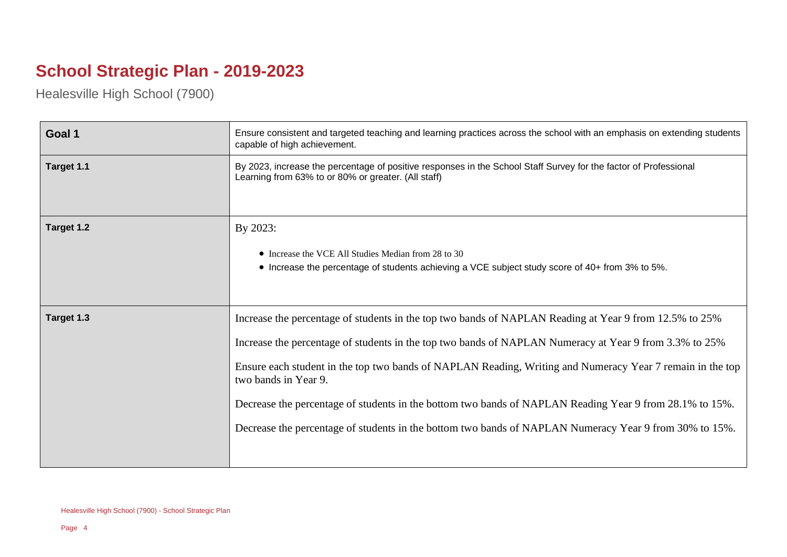## **School Strategic Plan - 2019-2023**

Healesville High School (7900)

| Goal 1     | Ensure consistent and targeted teaching and learning practices across the school with an emphasis on extending students<br>capable of high achievement.                                                                                                                                                                                                                                                                                                                                                                                                                    |
|------------|----------------------------------------------------------------------------------------------------------------------------------------------------------------------------------------------------------------------------------------------------------------------------------------------------------------------------------------------------------------------------------------------------------------------------------------------------------------------------------------------------------------------------------------------------------------------------|
| Target 1.1 | By 2023, increase the percentage of positive responses in the School Staff Survey for the factor of Professional<br>Learning from 63% to or 80% or greater. (All staff)                                                                                                                                                                                                                                                                                                                                                                                                    |
| Target 1.2 | By 2023:<br>• Increase the VCE All Studies Median from 28 to 30<br>• Increase the percentage of students achieving a VCE subject study score of 40+ from 3% to 5%.                                                                                                                                                                                                                                                                                                                                                                                                         |
| Target 1.3 | Increase the percentage of students in the top two bands of NAPLAN Reading at Year 9 from 12.5% to 25%<br>Increase the percentage of students in the top two bands of NAPLAN Numeracy at Year 9 from 3.3% to 25%<br>Ensure each student in the top two bands of NAPLAN Reading, Writing and Numeracy Year 7 remain in the top<br>two bands in Year 9.<br>Decrease the percentage of students in the bottom two bands of NAPLAN Reading Year 9 from 28.1% to 15%.<br>Decrease the percentage of students in the bottom two bands of NAPLAN Numeracy Year 9 from 30% to 15%. |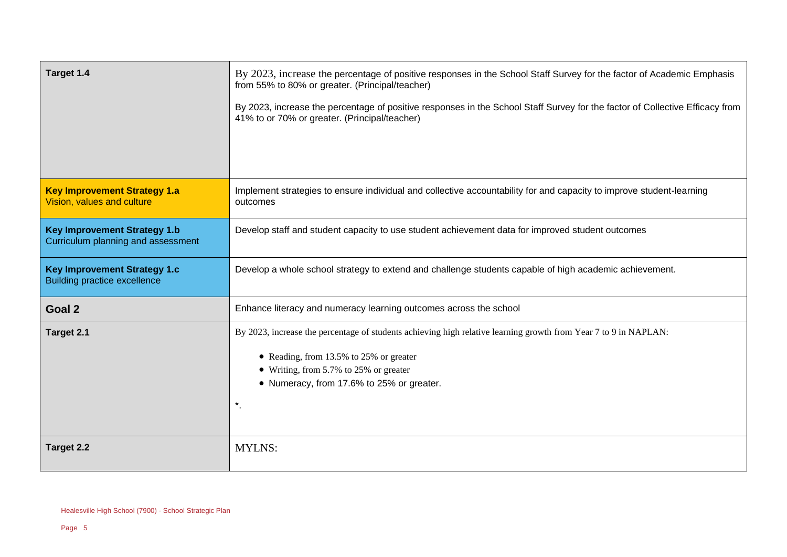| Target 1.4                                                                 | By 2023, increase the percentage of positive responses in the School Staff Survey for the factor of Academic Emphasis<br>from 55% to 80% or greater. (Principal/teacher)<br>By 2023, increase the percentage of positive responses in the School Staff Survey for the factor of Collective Efficacy from<br>41% to or 70% or greater. (Principal/teacher) |
|----------------------------------------------------------------------------|-----------------------------------------------------------------------------------------------------------------------------------------------------------------------------------------------------------------------------------------------------------------------------------------------------------------------------------------------------------|
| <b>Key Improvement Strategy 1.a</b><br>Vision, values and culture          | Implement strategies to ensure individual and collective accountability for and capacity to improve student-learning<br>outcomes                                                                                                                                                                                                                          |
| <b>Key Improvement Strategy 1.b</b><br>Curriculum planning and assessment  | Develop staff and student capacity to use student achievement data for improved student outcomes                                                                                                                                                                                                                                                          |
| <b>Key Improvement Strategy 1.c</b><br><b>Building practice excellence</b> | Develop a whole school strategy to extend and challenge students capable of high academic achievement.                                                                                                                                                                                                                                                    |
| Goal 2                                                                     | Enhance literacy and numeracy learning outcomes across the school                                                                                                                                                                                                                                                                                         |
| Target 2.1                                                                 | By 2023, increase the percentage of students achieving high relative learning growth from Year 7 to 9 in NAPLAN:<br>• Reading, from 13.5% to 25% or greater<br>• Writing, from 5.7% to 25% or greater<br>• Numeracy, from 17.6% to 25% or greater.<br>$\star$                                                                                             |
| Target 2.2                                                                 | <b>MYLNS:</b>                                                                                                                                                                                                                                                                                                                                             |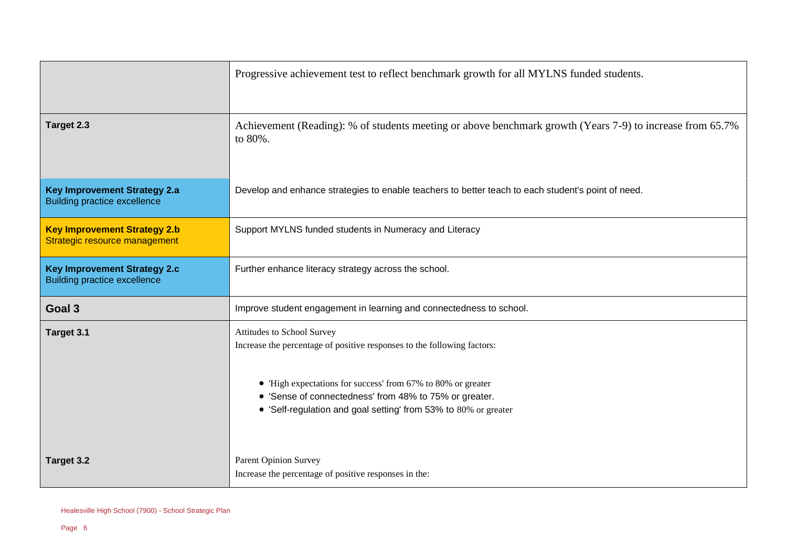|                                                                            | Progressive achievement test to reflect benchmark growth for all MYLNS funded students.                                                                                                                                                                                                            |
|----------------------------------------------------------------------------|----------------------------------------------------------------------------------------------------------------------------------------------------------------------------------------------------------------------------------------------------------------------------------------------------|
| Target 2.3                                                                 | Achievement (Reading): % of students meeting or above benchmark growth (Years 7-9) to increase from 65.7%<br>to 80%.                                                                                                                                                                               |
| <b>Key Improvement Strategy 2.a</b><br><b>Building practice excellence</b> | Develop and enhance strategies to enable teachers to better teach to each student's point of need.                                                                                                                                                                                                 |
| <b>Key Improvement Strategy 2.b</b><br>Strategic resource management       | Support MYLNS funded students in Numeracy and Literacy                                                                                                                                                                                                                                             |
| <b>Key Improvement Strategy 2.c</b><br><b>Building practice excellence</b> | Further enhance literacy strategy across the school.                                                                                                                                                                                                                                               |
| Goal 3                                                                     | Improve student engagement in learning and connectedness to school.                                                                                                                                                                                                                                |
| Target 3.1                                                                 | Attitudes to School Survey<br>Increase the percentage of positive responses to the following factors:<br>• 'High expectations for success' from 67% to 80% or greater<br>• 'Sense of connectedness' from 48% to 75% or greater.<br>• 'Self-regulation and goal setting' from 53% to 80% or greater |
| Target 3.2                                                                 | <b>Parent Opinion Survey</b><br>Increase the percentage of positive responses in the:                                                                                                                                                                                                              |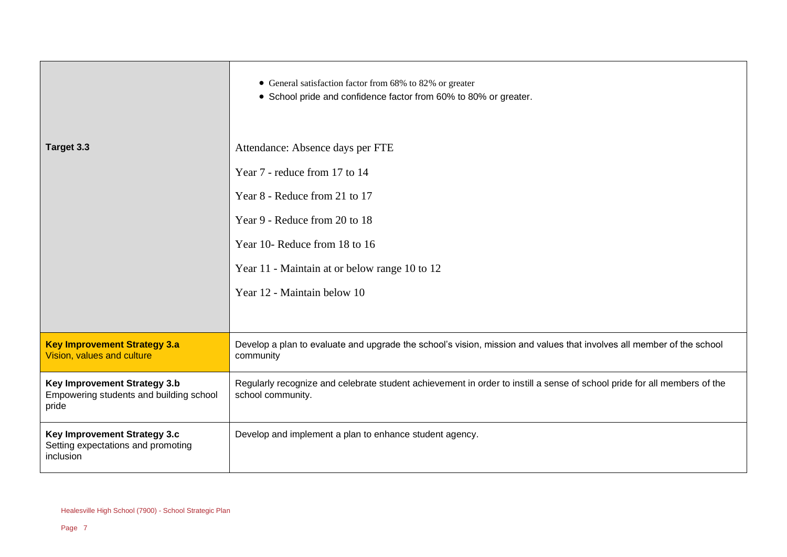|                                                                                  | • General satisfaction factor from 68% to 82% or greater<br>• School pride and confidence factor from 60% to 80% or greater.                  |
|----------------------------------------------------------------------------------|-----------------------------------------------------------------------------------------------------------------------------------------------|
| Target 3.3                                                                       | Attendance: Absence days per FTE                                                                                                              |
|                                                                                  | Year 7 - reduce from 17 to 14                                                                                                                 |
|                                                                                  | Year 8 - Reduce from 21 to 17                                                                                                                 |
|                                                                                  | Year 9 - Reduce from 20 to 18                                                                                                                 |
|                                                                                  | Year 10- Reduce from 18 to 16                                                                                                                 |
|                                                                                  | Year 11 - Maintain at or below range 10 to 12                                                                                                 |
|                                                                                  | Year 12 - Maintain below 10                                                                                                                   |
|                                                                                  |                                                                                                                                               |
| <b>Key Improvement Strategy 3.a</b><br>Vision, values and culture                | Develop a plan to evaluate and upgrade the school's vision, mission and values that involves all member of the school<br>community            |
| Key Improvement Strategy 3.b<br>Empowering students and building school<br>pride | Regularly recognize and celebrate student achievement in order to instill a sense of school pride for all members of the<br>school community. |
| Key Improvement Strategy 3.c<br>Setting expectations and promoting<br>inclusion  | Develop and implement a plan to enhance student agency.                                                                                       |